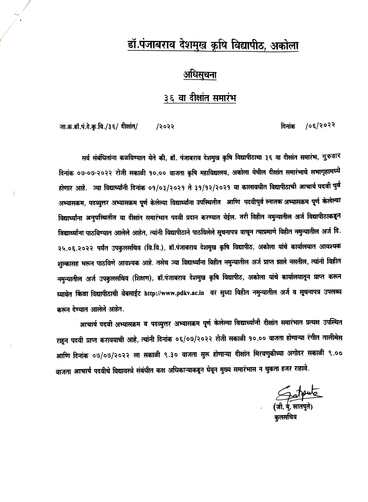# डॉ.पंजाबराव देशमुख कृषि विद्यापीठ, अकोला

## अधिसूचना

# ३६ वा दीक्षांत समारंभ

 $105/5055$ दिनांक

जा.क.डॉ.पं.दे.कृ.वि./३६/ दीक्षांत/ /२०२२

सर्व संबंधितांना कळविण्यात येते की, डॉ. पंजाबराव देशमुख कृषि विद्यापीठाचा ३६ वा दीक्षांत समारंभ, गुरुवार दिनांक ०७-०७-२०२२ रोजी सकाळी १०.०० वाजता कृषि महाविद्यालय, अकोला येथील दीक्षांत समारंभाचे सभागृहामध्ये होणार आहे. ज्या विद्यार्थ्यांनी दिनांक ०१/०३/२०२१ ते ३१/१२/२०२१ या कालावधीत विद्यापीठाची आचार्य पदवी पुर्व अभ्यासक्रम, पदव्युत्तर अभ्यासक्रम पूर्ण केलेल्या विद्यार्थ्यांना उपस्थितीत आणि पदवीपुर्व स्नातक अभ्यासक्रम पूर्ण केलेल्या विद्यार्थ्यांना अनुपस्थितीत या दीक्षांत समारंभात पदवी प्रदान करण्यात येईल. तरी विहीत नमुन्यातील अर्ज विद्यापीठाकडून विद्यार्थ्यांना पाठविण्यात आलेले आहेत, त्यांनी विद्यापीठाने पाठविलेले सूचनापत्र वाचून त्याप्रमाणे विहीत नमुन्यातील अर्ज दि. २५.०६.२०२२ पर्यंत उपकुलसचिव (वि.वि.), डॉ.पंजाबराव देशमुख कृषि विद्यापीठ, अकोला यांचे कार्यालयात आवश्यक शुल्कासह भरून पाठविणे आवश्यक आहे. तसेच ज्या विद्यार्थ्यांना विहीत नमुन्यातील अर्ज प्राप्त झाले नसतील, त्यांनी विहीत नमुन्यातील अर्ज उपकुलसचिव (शिक्षण), डॉ.पंजाबराव देशमुख कृषि विद्यापीठ, अकोला यांचे कार्यालयातून प्राप्त करून घ्यावेत किंवा विद्यापीठाची वेबसाईट http://www.pdkv.ac.in वर सुध्वा विहीत नमुन्यातील अर्ज व सूचनापत्र उपलब्ध करून देण्यात आलेले आहेत.

आचार्य पदवी अभ्यासक्रम व पदव्युत्तर अभ्यासक्रम पूर्ण केलेल्या विद्यार्थ्यांनी दीक्षांत समारंभात प्रत्यक्ष उपस्थित राहून पदवी प्राप्त करावयाची आहे, त्यांनी दिनांक ०६/०७/२०२२ रोजी सकाळी १०.०० वाजता होणाऱ्या रंगीत तालीमेस आणि दिनांक ०७/०७/२०२२ ला सकाळी ९.३० वाजता सुरू होणाऱ्या दीक्षांत मिरवणुकीच्या अगोदर सकाळी ९.०० वाजता आचार्य पदवीचे विद्यावस्त्रे संबंधीत कक्ष अधिकाऱ्याकडून घेवून मुख्य समारंभास न चुकता हजर राहावे.